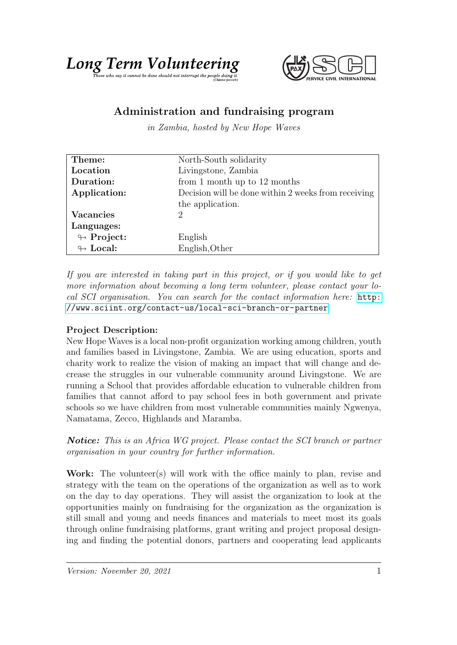



## Administration and fundraising program

in Zambia, hosted by New Hope Waves

| Theme:                     | North-South solidarity                              |
|----------------------------|-----------------------------------------------------|
| Location                   | Livingstone, Zambia                                 |
| Duration:                  | from 1 month up to $12$ months                      |
| Application:               | Decision will be done within 2 weeks from receiving |
|                            | the application.                                    |
| <b>Vacancies</b>           | $\mathcal{D}$                                       |
| Languages:                 |                                                     |
| $\looparrowright$ Project: | English                                             |
| $\leftrightarrow$ Local:   | English, Other                                      |

If you are interested in taking part in this project, or if you would like to get more information about becoming a long term volunteer, please contact your local SCI organisation. You can search for the contact information here: [http:](http://www.sciint.org/contact-us/local-sci-branch-or-partner) [//www.sciint.org/contact-us/local-sci-branch-or-partner](http://www.sciint.org/contact-us/local-sci-branch-or-partner)

## Project Description:

New Hope Waves is a local non-profit organization working among children, youth and families based in Livingstone, Zambia. We are using education, sports and charity work to realize the vision of making an impact that will change and decrease the struggles in our vulnerable community around Livingstone. We are running a School that provides affordable education to vulnerable children from families that cannot afford to pay school fees in both government and private schools so we have children from most vulnerable communities mainly Ngwenya, Namatama, Zecco, Highlands and Maramba.

Notice: This is an Africa WG project. Please contact the SCI branch or partner organisation in your country for further information.

Work: The volunteer(s) will work with the office mainly to plan, revise and strategy with the team on the operations of the organization as well as to work on the day to day operations. They will assist the organization to look at the opportunities mainly on fundraising for the organization as the organization is still small and young and needs finances and materials to meet most its goals through online fundraising platforms, grant writing and project proposal designing and finding the potential donors, partners and cooperating lead applicants